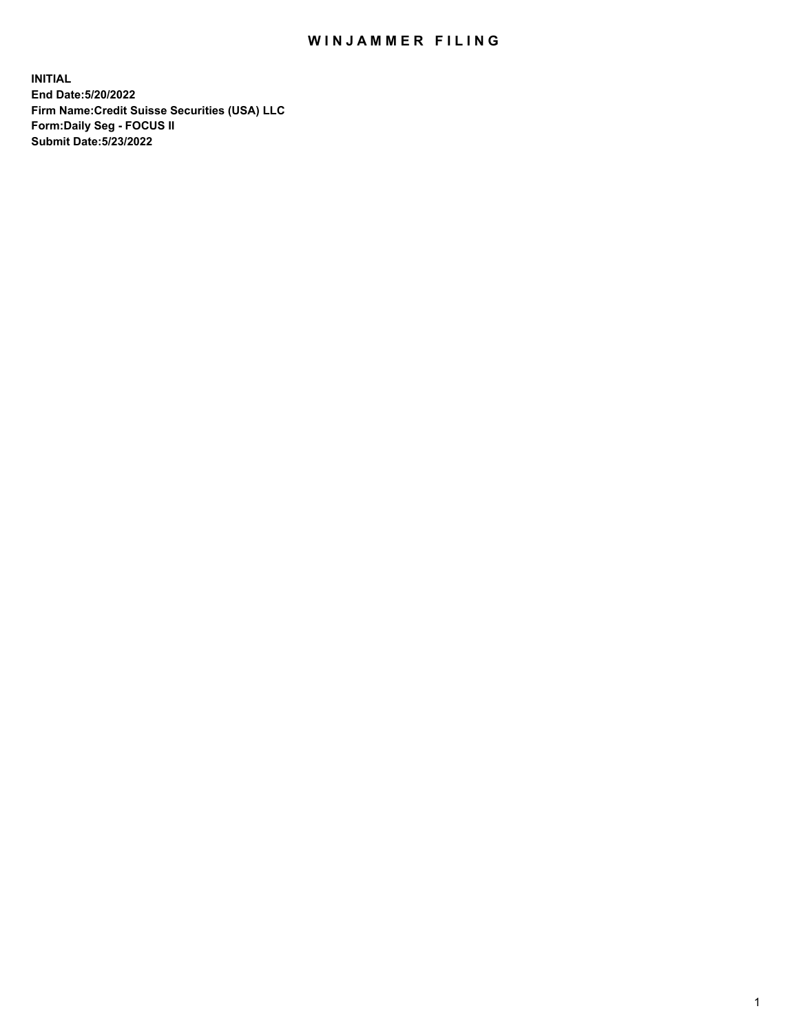## WIN JAMMER FILING

**INITIAL End Date:5/20/2022 Firm Name:Credit Suisse Securities (USA) LLC Form:Daily Seg - FOCUS II Submit Date:5/23/2022**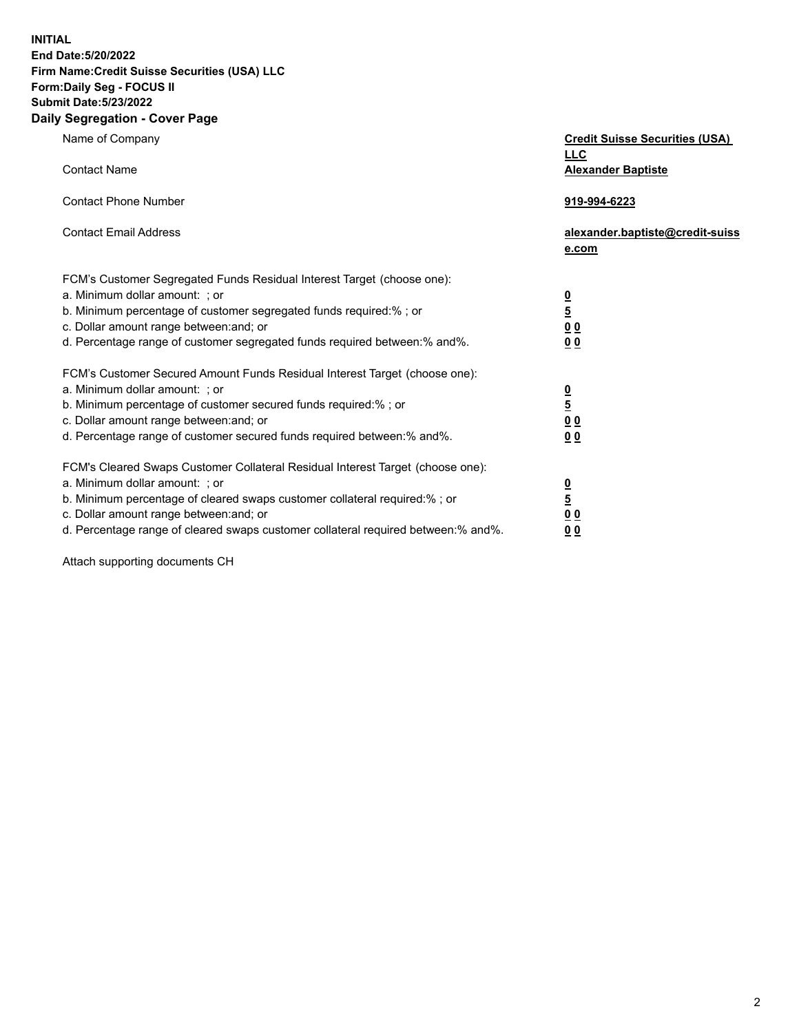**INITIAL**

## **End Date:5/20/2022 Firm Name:Credit Suisse Securities (USA) LLC Form:Daily Seg - FOCUS II Submit Date:5/23/2022**

## **Daily Segregation - Cover Page**

| Name of Company                                                                                                                                                                                                                                                                                                                | <b>Credit Suisse Securities (USA)</b><br><b>LLC</b>                   |
|--------------------------------------------------------------------------------------------------------------------------------------------------------------------------------------------------------------------------------------------------------------------------------------------------------------------------------|-----------------------------------------------------------------------|
| <b>Contact Name</b>                                                                                                                                                                                                                                                                                                            | <b>Alexander Baptiste</b>                                             |
| <b>Contact Phone Number</b>                                                                                                                                                                                                                                                                                                    | 919-994-6223                                                          |
| <b>Contact Email Address</b>                                                                                                                                                                                                                                                                                                   | alexander.baptiste@credit-suiss<br>e.com                              |
| FCM's Customer Segregated Funds Residual Interest Target (choose one):<br>a. Minimum dollar amount: : or<br>b. Minimum percentage of customer segregated funds required:% ; or<br>c. Dollar amount range between: and; or<br>d. Percentage range of customer segregated funds required between:% and%.                         | $\frac{0}{\frac{5}{0}}$<br>0 <sub>0</sub>                             |
| FCM's Customer Secured Amount Funds Residual Interest Target (choose one):<br>a. Minimum dollar amount: ; or<br>b. Minimum percentage of customer secured funds required:%; or<br>c. Dollar amount range between: and; or<br>d. Percentage range of customer secured funds required between:% and%.                            | $\frac{0}{5}$<br>$\underline{0}$<br>$\underline{0}$<br>0 <sub>0</sub> |
| FCM's Cleared Swaps Customer Collateral Residual Interest Target (choose one):<br>a. Minimum dollar amount: ; or<br>b. Minimum percentage of cleared swaps customer collateral required:% ; or<br>c. Dollar amount range between: and; or<br>d. Percentage range of cleared swaps customer collateral required between:% and%. | $\frac{0}{5}$<br>0 <sub>0</sub><br>0 <sub>0</sub>                     |

Attach supporting documents CH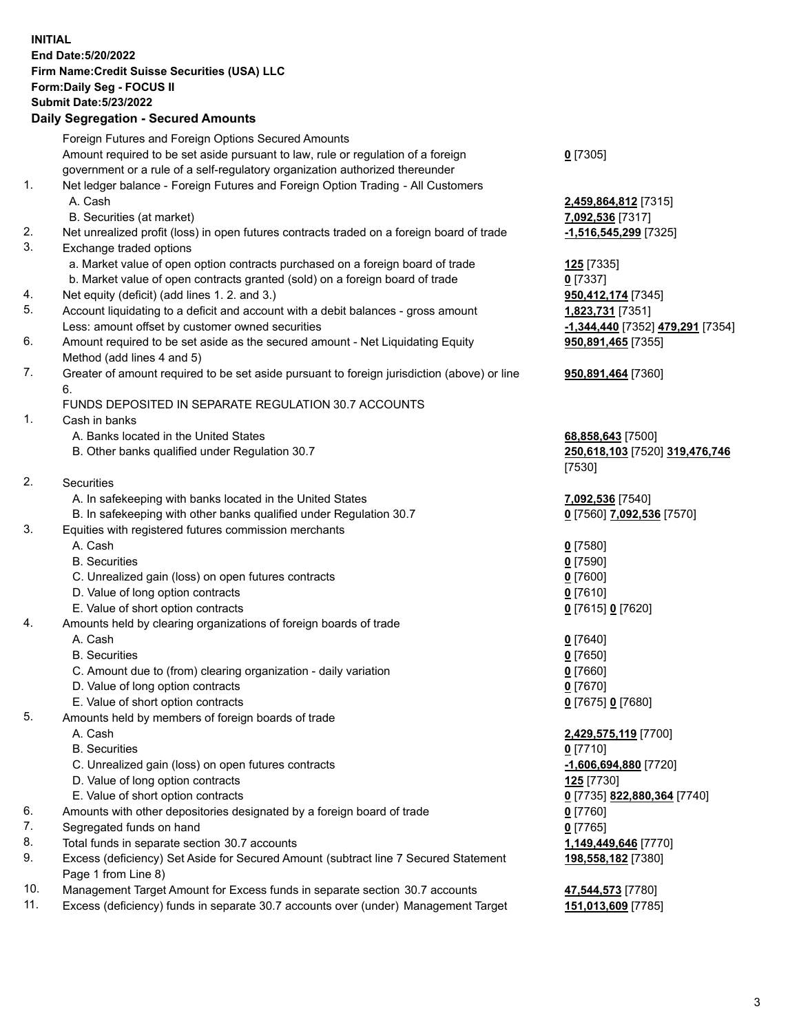**INITIAL End Date:5/20/2022 Firm Name:Credit Suisse Securities (USA) LLC Form:Daily Seg - FOCUS II Submit Date:5/23/2022**

## **Daily Segregation - Secured Amounts**

|     | Foreign Futures and Foreign Options Secured Amounts                                         |                                  |
|-----|---------------------------------------------------------------------------------------------|----------------------------------|
|     | Amount required to be set aside pursuant to law, rule or regulation of a foreign            | $0$ [7305]                       |
|     | government or a rule of a self-regulatory organization authorized thereunder                |                                  |
| 1.  | Net ledger balance - Foreign Futures and Foreign Option Trading - All Customers             |                                  |
|     | A. Cash                                                                                     | 2,459,864,812 [7315]             |
|     | B. Securities (at market)                                                                   | 7,092,536 [7317]                 |
| 2.  | Net unrealized profit (loss) in open futures contracts traded on a foreign board of trade   | -1,516,545,299 [7325]            |
| 3.  | Exchange traded options                                                                     |                                  |
|     | a. Market value of open option contracts purchased on a foreign board of trade              | 125 [7335]                       |
|     | b. Market value of open contracts granted (sold) on a foreign board of trade                | $0$ [7337]                       |
| 4.  | Net equity (deficit) (add lines 1. 2. and 3.)                                               | 950,412,174 [7345]               |
| 5.  | Account liquidating to a deficit and account with a debit balances - gross amount           | 1,823,731 [7351]                 |
|     | Less: amount offset by customer owned securities                                            | -1,344,440 [7352] 479,291 [7354] |
| 6.  | Amount required to be set aside as the secured amount - Net Liquidating Equity              | 950,891,465 [7355]               |
|     | Method (add lines 4 and 5)                                                                  |                                  |
| 7.  | Greater of amount required to be set aside pursuant to foreign jurisdiction (above) or line | 950,891,464 [7360]               |
|     | 6.                                                                                          |                                  |
|     | FUNDS DEPOSITED IN SEPARATE REGULATION 30.7 ACCOUNTS                                        |                                  |
| 1.  | Cash in banks                                                                               |                                  |
|     | A. Banks located in the United States                                                       | 68,858,643 [7500]                |
|     | B. Other banks qualified under Regulation 30.7                                              | 250,618,103 [7520] 319,476,746   |
|     |                                                                                             | [7530]                           |
| 2.  | Securities                                                                                  |                                  |
|     | A. In safekeeping with banks located in the United States                                   | 7,092,536 [7540]                 |
|     | B. In safekeeping with other banks qualified under Regulation 30.7                          | 0 [7560] 7,092,536 [7570]        |
| 3.  | Equities with registered futures commission merchants                                       |                                  |
|     | A. Cash                                                                                     | $0$ [7580]                       |
|     | <b>B.</b> Securities                                                                        | $0$ [7590]                       |
|     | C. Unrealized gain (loss) on open futures contracts                                         | $0$ [7600]                       |
|     | D. Value of long option contracts                                                           | $0$ [7610]                       |
|     | E. Value of short option contracts                                                          | 0 [7615] 0 [7620]                |
| 4.  | Amounts held by clearing organizations of foreign boards of trade                           |                                  |
|     | A. Cash                                                                                     | $0$ [7640]                       |
|     | <b>B.</b> Securities                                                                        | $0$ [7650]                       |
|     | C. Amount due to (from) clearing organization - daily variation                             | $0$ [7660]                       |
|     | D. Value of long option contracts                                                           | $0$ [7670]                       |
|     | E. Value of short option contracts                                                          | 0 [7675] 0 [7680]                |
| 5.  | Amounts held by members of foreign boards of trade                                          |                                  |
|     | A. Cash                                                                                     | 2,429,575,119 [7700]             |
|     | <b>B.</b> Securities                                                                        | $0$ [7710]                       |
|     | C. Unrealized gain (loss) on open futures contracts                                         | $-1,606,694,880$ [7720]          |
|     | D. Value of long option contracts                                                           | 125 <sub>[7730]</sub>            |
|     | E. Value of short option contracts                                                          | 0 [7735] 822,880,364 [7740]      |
| 6.  | Amounts with other depositories designated by a foreign board of trade                      | $0$ [7760]                       |
| 7.  | Segregated funds on hand                                                                    | $0$ [7765]                       |
| 8.  | Total funds in separate section 30.7 accounts                                               | 1,149,449,646 [7770]             |
| 9.  | Excess (deficiency) Set Aside for Secured Amount (subtract line 7 Secured Statement         | 198,558,182 [7380]               |
|     | Page 1 from Line 8)                                                                         |                                  |
| 10. | Management Target Amount for Excess funds in separate section 30.7 accounts                 | 47,544,573 [7780]                |

11. Excess (deficiency) funds in separate 30.7 accounts over (under) Management Target **151,013,609** [7785]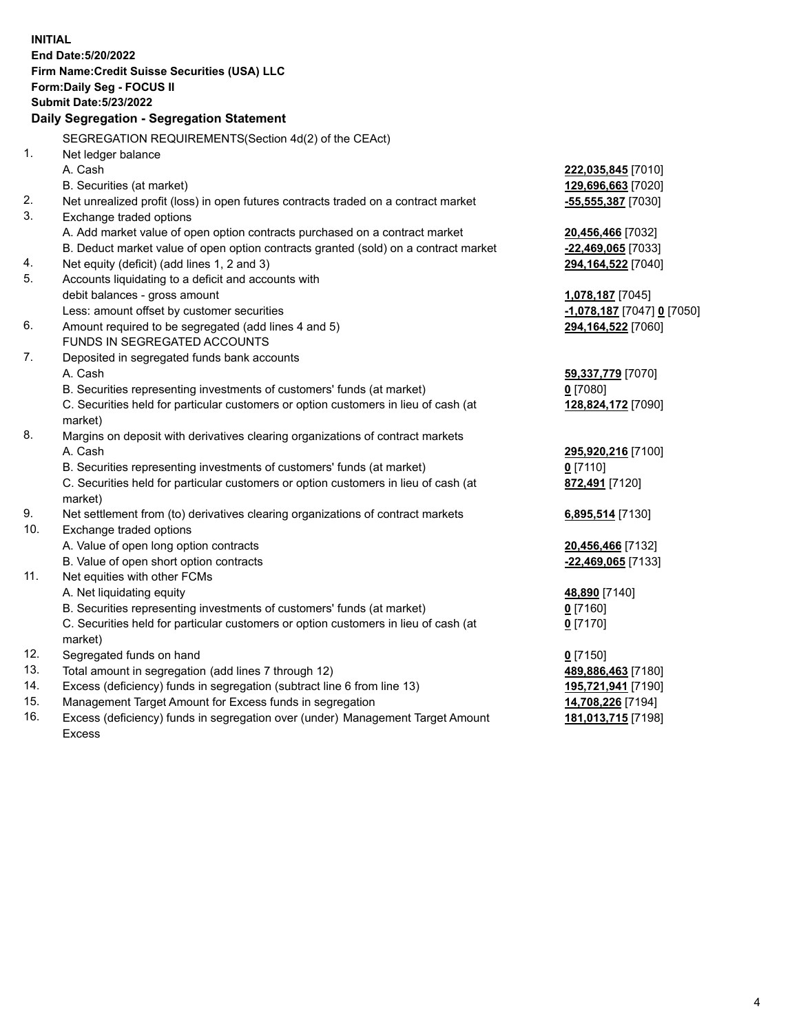|     | <b>INITIAL</b>                                                                                             |                                          |
|-----|------------------------------------------------------------------------------------------------------------|------------------------------------------|
|     | End Date: 5/20/2022                                                                                        |                                          |
|     | Firm Name: Credit Suisse Securities (USA) LLC                                                              |                                          |
|     | Form: Daily Seg - FOCUS II<br><b>Submit Date: 5/23/2022</b>                                                |                                          |
|     |                                                                                                            |                                          |
|     | Daily Segregation - Segregation Statement                                                                  |                                          |
|     | SEGREGATION REQUIREMENTS(Section 4d(2) of the CEAct)                                                       |                                          |
| 1.  | Net ledger balance                                                                                         |                                          |
|     | A. Cash                                                                                                    | 222,035,845 [7010]                       |
|     | B. Securities (at market)                                                                                  | 129,696,663 [7020]                       |
| 2.  | Net unrealized profit (loss) in open futures contracts traded on a contract market                         | $-55,555,387$ [7030]                     |
| 3.  | Exchange traded options                                                                                    |                                          |
|     | A. Add market value of open option contracts purchased on a contract market                                | 20,456,466 [7032]                        |
|     | B. Deduct market value of open option contracts granted (sold) on a contract market                        | $-22,469,065$ [7033]                     |
| 4.  | Net equity (deficit) (add lines 1, 2 and 3)                                                                | 294,164,522 [7040]                       |
| 5.  | Accounts liquidating to a deficit and accounts with                                                        |                                          |
|     | debit balances - gross amount                                                                              | 1,078,187 [7045]                         |
|     | Less: amount offset by customer securities                                                                 | <u>-1,078,187</u> [7047] <u>0</u> [7050] |
| 6.  | Amount required to be segregated (add lines 4 and 5)                                                       | 294,164,522 [7060]                       |
|     | <b>FUNDS IN SEGREGATED ACCOUNTS</b>                                                                        |                                          |
| 7.  | Deposited in segregated funds bank accounts                                                                |                                          |
|     | A. Cash                                                                                                    | 59,337,779 [7070]                        |
|     | B. Securities representing investments of customers' funds (at market)                                     | $0$ [7080]                               |
|     | C. Securities held for particular customers or option customers in lieu of cash (at                        | 128,824,172 [7090]                       |
|     | market)                                                                                                    |                                          |
| 8.  | Margins on deposit with derivatives clearing organizations of contract markets                             |                                          |
|     | A. Cash                                                                                                    | 295,920,216 [7100]                       |
|     | B. Securities representing investments of customers' funds (at market)                                     | $0$ [7110]                               |
|     | C. Securities held for particular customers or option customers in lieu of cash (at                        | 872,491 [7120]                           |
| 9.  | market)                                                                                                    |                                          |
| 10. | Net settlement from (to) derivatives clearing organizations of contract markets<br>Exchange traded options | 6,895,514 [7130]                         |
|     | A. Value of open long option contracts                                                                     |                                          |
|     | B. Value of open short option contracts                                                                    | 20,456,466 [7132]<br>-22,469,065 [7133]  |
| 11. | Net equities with other FCMs                                                                               |                                          |
|     | A. Net liquidating equity                                                                                  | 48,890 [7140]                            |
|     | B. Securities representing investments of customers' funds (at market)                                     | $0$ [7160]                               |
|     | C. Securities held for particular customers or option customers in lieu of cash (at                        | $0$ [7170]                               |
|     | market)                                                                                                    |                                          |
| 12. | Segregated funds on hand                                                                                   | $0$ [7150]                               |
| 13. | Total amount in segregation (add lines 7 through 12)                                                       | 489,886,463 [7180]                       |
| 14. | Excess (deficiency) funds in segregation (subtract line 6 from line 13)                                    | 195,721,941 [7190]                       |
| 15. | Management Target Amount for Excess funds in segregation                                                   | 14,708,226 [7194]                        |
| 16. | Excess (deficiency) funds in segregation over (under) Management Target Amount                             | 181,013,715 [7198]                       |
|     | <b>Excess</b>                                                                                              |                                          |